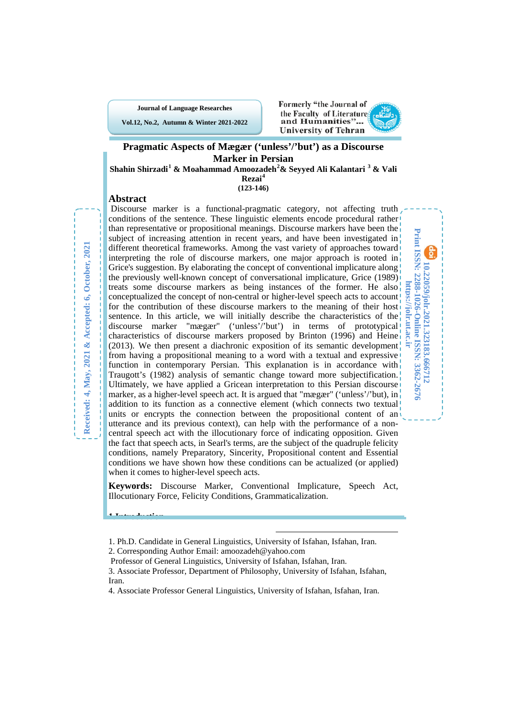**Journal of Language Researches**

**Vol.12, No.2, Autumn & Winter 2021-2022**



**10.22059/jolr.2021.323183.666712 Print ISSN: 2288-1026-Online ISSN: 3362-2676 https://jolr.ut.ac.ir**

10.22059/jolr.2021.323183.666712

Print ISSN: 2288-1026-Online ISSN: 3362-2676

nttps://jolr.ut.ac.ir

## **Pragmatic Aspects of Mægær ('unless'/'but') as a Discourse Marker in Persian**

**Shahin Shirzadi[1](#page-0-0) & Moahammad Amoozadeh[2](#page-0-1) & Seyyed Ali Kalantari [3](#page-0-2) & Vali Rezai[4](#page-0-3)**

**(123-146)**

### **Abstract**

Discourse marker is a functional-pragmatic category, not affecting truth conditions of the sentence. These linguistic elements encode procedural rather than representative or propositional meanings. Discourse markers have been the subject of increasing attention in recent years, and have been investigated in different theoretical frameworks. Among the vast variety of approaches toward interpreting the role of discourse markers, one major approach is rooted in Grice's suggestion. By elaborating the concept of conventional implicature along the previously well-known concept of conversational implicature, Grice (1989) treats some discourse markers as being instances of the former. He also conceptualized the concept of non-central or higher-level speech acts to account! for the contribution of these discourse markers to the meaning of their host sentence. In this article, we will initially describe the characteristics of the discourse marker "mægær" ('unless'/'but') in terms of prototypical characteristics of discourse markers proposed by Brinton (1996) and Heine (2013). We then present a diachronic exposition of its semantic development from having a propositional meaning to a word with a textual and expressive function in contemporary Persian. This explanation is in accordance with Traugott's (1982) analysis of semantic change toward more subjectification. Ultimately, we have applied a Gricean interpretation to this Persian discourse marker, as a higher-level speech act. It is argued that "mægær" ('unless'/'but), in addition to its function as a connective element (which connects two textual) units or encrypts the connection between the propositional content of an utterance and its previous context), can help with the performance of a noncentral speech act with the illocutionary force of indicating opposition. Given the fact that speech acts, in Searl's terms, are the subject of the quadruple felicity conditions, namely Preparatory, Sincerity, Propositional content and Essential conditions we have shown how these conditions can be actualized (or applied) when it comes to higher-level speech acts.

**Keywords:** Discourse Marker, Conventional Implicature, Speech Act, Illocutionary Force, Felicity Conditions, Grammaticalization.

1

**<sup>1.</sup>Introduction**

<span id="page-0-1"></span><span id="page-0-0"></span><sup>1.</sup> Ph.D. Candidate in General Linguistics, University of Isfahan, Isfahan, Iran. 2. Corresponding Author Email: amoozadeh@yahoo.com

Professor of General Linguistics, University of Isfahan, Isfahan, Iran.

<span id="page-0-2"></span><sup>3.</sup> Associate Professor, Department of Philosophy, University of Isfahan, Isfahan, Iran.

<span id="page-0-3"></span><sup>4.</sup> Associate Professor General Linguistics, University of Isfahan, Isfahan, Iran.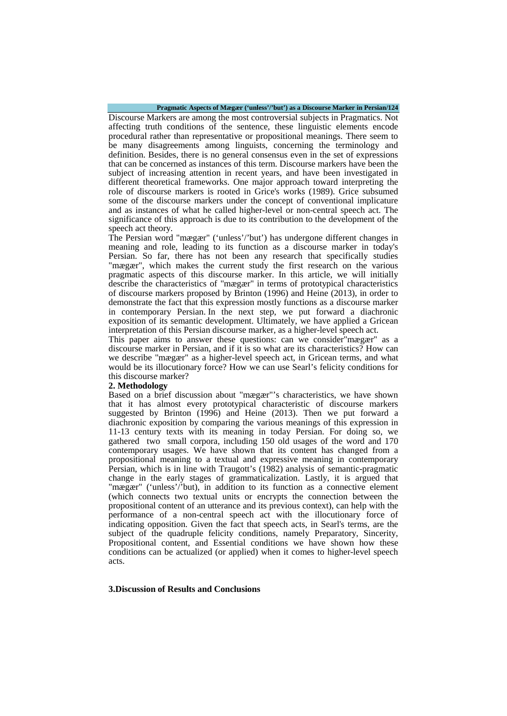#### **Pragmatic Aspects of Mægær ('unless'/'but') as a Discourse Marker in Persian/124**

Discourse Markers are among the most controversial subjects in Pragmatics. Not affecting truth conditions of the sentence, these linguistic elements encode procedural rather than representative or propositional meanings. There seem to be many disagreements among linguists, concerning the terminology and definition. Besides, there is no general consensus even in the set of expressions that can be concerned as instances of this term. Discourse markers have been the subject of increasing attention in recent years, and have been investigated in different theoretical frameworks. One major approach toward interpreting the role of discourse markers is rooted in Grice's works (1989). Grice subsumed some of the discourse markers under the concept of conventional implicature and as instances of what he called higher-level or non-central speech act. The significance of this approach is due to its contribution to the development of the speech act theory.

The Persian word "mægær" ('unless'/'but') has undergone different changes in meaning and role, leading to its function as a discourse marker in today's Persian. So far, there has not been any research that specifically studies "mægær", which makes the current study the first research on the various pragmatic aspects of this discourse marker. In this article, we will initially describe the characteristics of "mægær" in terms of prototypical characteristics of discourse markers proposed by Brinton (1996) and Heine (2013), in order to demonstrate the fact that this expression mostly functions as a discourse marker in contemporary Persian. In the next step, we put forward a diachronic exposition of its semantic development. Ultimately, we have applied a Gricean interpretation of this Persian discourse marker, as a higher-level speech act.

This paper aims to answer these questions: can we consider"mægær" as a discourse marker in Persian, and if it is so what are its characteristics? How can we describe "mægær" as a higher-level speech act, in Gricean terms, and what would be its illocutionary force? How we can use Searl's felicity conditions for this discourse marker?

#### **2. Methodology**

Based on a brief discussion about "mægær"'s characteristics, we have shown that it has almost every prototypical characteristic of discourse markers suggested by Brinton (1996) and Heine (2013). Then we put forward a diachronic exposition by comparing the various meanings of this expression in 11-13 century texts with its meaning in today Persian. For doing so, we gathered two small corpora, including 150 old usages of the word and 170 contemporary usages. We have shown that its content has changed from a propositional meaning to a textual and expressive meaning in contemporary Persian, which is in line with Traugott's (1982) analysis of semantic-pragmatic change in the early stages of grammaticalization. Lastly, it is argued that "mægær" ('unless'/'but), in addition to its function as a connective element (which connects two textual units or encrypts the connection between the propositional content of an utterance and its previous context), can help with the performance of a non-central speech act with the illocutionary force of indicating opposition. Given the fact that speech acts, in Searl's terms, are the subject of the quadruple felicity conditions, namely Preparatory, Sincerity, Propositional content, and Essential conditions we have shown how these conditions can be actualized (or applied) when it comes to higher-level speech acts.

#### **3.Discussion of Results and Conclusions**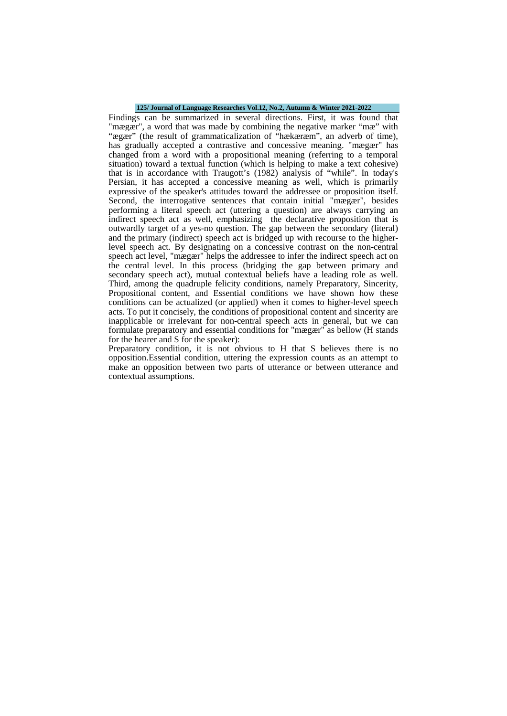#### **125/ Journal of Language Researches Vol.12, No.2, Autumn & Winter 2021-2022**

Findings can be summarized in several directions. First, it was found that "mægær", a word that was made by combining the negative marker "mæ" with "ægær" (the result of grammaticalization of "hækæræm", an adverb of time), has gradually accepted a contrastive and concessive meaning. "mægær" has changed from a word with a propositional meaning (referring to a temporal situation) toward a textual function (which is helping to make a text cohesive) that is in accordance with Traugott's (1982) analysis of "while". In today's Persian, it has accepted a concessive meaning as well, which is primarily expressive of the speaker's attitudes toward the addressee or proposition itself. Second, the interrogative sentences that contain initial "mægær", besides performing a literal speech act (uttering a question) are always carrying an indirect speech act as well, emphasizing the declarative proposition that is outwardly target of a yes-no question. The gap between the secondary (literal) and the primary (indirect) speech act is bridged up with recourse to the higherlevel speech act. By designating on a concessive contrast on the non-central speech act level, "mægær" helps the addressee to infer the indirect speech act on the central level. In this process (bridging the gap between primary and secondary speech act), mutual contextual beliefs have a leading role as well. Third, among the quadruple felicity conditions, namely Preparatory, Sincerity, Propositional content, and Essential conditions we have shown how these conditions can be actualized (or applied) when it comes to higher-level speech acts. To put it concisely, the conditions of propositional content and sincerity are inapplicable or irrelevant for non-central speech acts in general, but we can formulate preparatory and essential conditions for "mægær" as bellow (H stands for the hearer and S for the speaker):

Preparatory condition, it is not obvious to H that S believes there is no opposition.Essential condition, uttering the expression counts as an attempt to make an opposition between two parts of utterance or between utterance and contextual assumptions.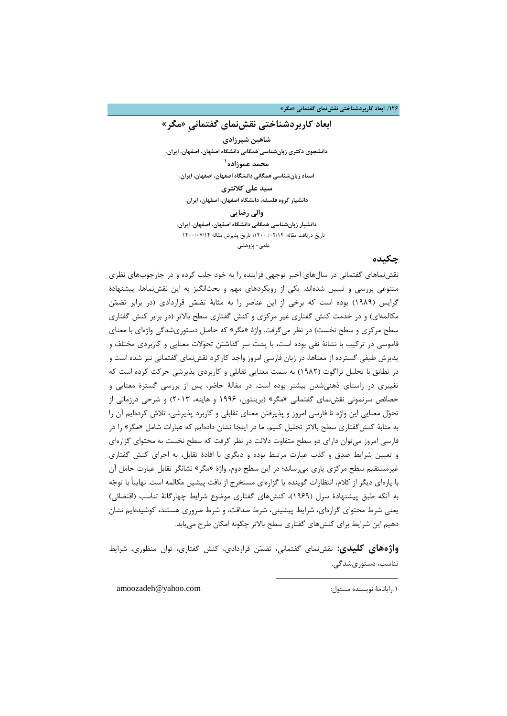**/126 ابعاد کاربردشناختی نقشنماي گفتمانیِ «مگر»**

## **ابعاد کاربردشناختی نقشنماي گفتمانیِ «مگر»**

**شاهین شیرزادي دانشجوي دکتري زبانشناسی همگانی دانشگاه اصفهان، اصفهان، ایران. [1](#page-3-0) محمد عموزاده استاد زبانشناسی همگانی دانشگاه اصفهان، اصفهان، ایران. سید علی کلانتري دانشیار گروه فلسفه، دانشگاه اصفهان، اصفهان، ایران. والی رضایی دانشیار زبانشناسی همگانی دانشگاه اصفهان، اصفهان، ایران.** تاریخ دریافت مقاله: /02/14 1400؛ تاریخ پذیرش مقاله 1400/07/14

علمی- پژوهشی

### **چکیده**

نقشنماهاي گفتمانی در سالهاي اخیر توجهی فزاینده را به خود جلب کرده و در چارچوبهاي نظري متنوعی بررسی و تبیین شدهاند. یکی از رویکردهاي مهم و بحثانگیز به این نقشنماها، پیشنهادة گرایس (1989) بوده است که برخی از این عناصر را به مثابۀ تضمن قراردادي (در برابر تضمن مکالمهاي) و در خدمت کنش گفتاري غیر مرکزي و کنش گفتاري سطح بالاتر (در برابر کنش گفتاري سطح مرکزي و سطح نخست) در نظر میگرفت. واژة «مگر» که حاصل دستوريشدگی واژهاي با معناي قاموسی در ترکیب با نشانۀ نفی بوده است، با پشت سر گذاشتن تحولات معنایی و کاربردي مختلف و پذیرش طیفی گسترده از معناها، در زبان فارسی امروز واجد کارکرد نقشنماي گفتمانی نیز شده است و در تطابق با تحلیل تراگوت (1982) به سمت معنایی تقابلی و کاربردي پذیرشی حرکت کرده است که تغییري در راستاي ذهنیشدنِ بیشتر بوده است. در مقالۀ حاضر، پس از بررسی گسترة معنایی و خصائص سرنمونی نقشنماي گفتمانی «مگر» (برینتون، 1996 و هاینه، 2013) و شرحی درزمانی از تحول معنایی این واژه تا فارسی امروز و پذیرفتن معناي تقابلی و کاربرد پذیرشی، تلاش کردهایم آن را به مثابۀ کنشگفتاري سطح بالاتر تحلیل کنیم. ما در اینجا نشان دادهایم که عبارات شامل «مگر» را در فارسی امروز میتوان داراي دو سطح متفاوت دلالت در نظر گرفت که سطح نخست به محتواي گزارهاي و تعیین شرایط صدق و کذب عبارت مرتبط بوده و دیگري با افادة تقابل، به اجراي کنش گفتاري غیرمستقیم سطح مرکزي یاري میرساند؛ در این سطح دوم، واژة «مگر» نشانگر تقابل عبارت حامل آن با پارهاي دیگر از کلام، انتظارات گوینده یا گزارهاي مستخرج از بافت پیشین مکالمه است. نهایتاً با توجه به آنکه طبق پیشنهادة سرل (1969)، کنشهاي گفتاري موضوع شرایط چهارگانۀ تناسب (اقتضائی) یعنی شرط محتواي گزارهاي، شرایط پیشینی، شرط صداقت، و شرط ضروري هستند، کوشیدهایم نشان دهیم این شرایط براي کنشهاي گفتاري سطح بالاتر چگونه امکان طرح مییابد.

<span id="page-3-0"></span>**واژههاي کلیدي:** نقشنماي گفتمانی، تضمن قراردادي، کنش گفتاري، توان منظوري، شرایط تناسب، دستوريشدگی.

 $\overline{a}$ 

.1رایانامۀ نویسنده مسئول: com.yahoo@amoozadeh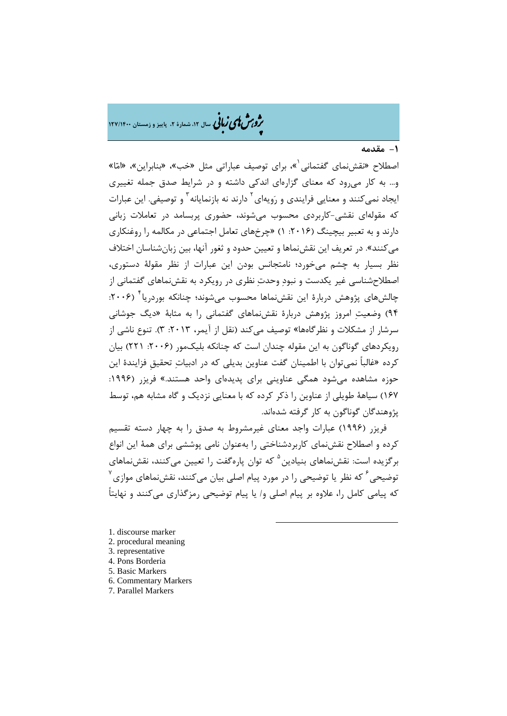م<br>م**روس لمی زبانی** سال ۱۲، شمارهٔ ۲، پاییز و زمستان ۱۲۷/۱۴۰۰

**-1 مقدمه**

اصطلاح «نقشنمای گفتمانی [»](#page-4-0)، برای توصیف عباراتی مثل «خب»، «بنابراین»، «امّا» و... به کار میرود که معناي گزارهاي اندکی داشته و در شرایط صدق جمله تغییري ایجاد نمیکنند و معنایی فرایندی و رَویهای <sup>۲</sup> دارند نه بازنمایانه <sup>۳</sup> و توصیفی. این عبارات که مقولهاي نقشی-کاربردي محسوب میشوند، حضوري پربسامد در تعاملات زبانی دارند و به تعبیر بیچینگ (:2016 1) «چرخهاي تعامل اجتماعی در مکالمه را روغنکاري میکنند». در تعریف این نقشنماها و تعیین حدود و ثغور آنها، بین زبانشناسان اختلاف نظر بسیار به چشم میخورد؛ نامتجانس بودن این عبارات از نظر مقولۀ دستوري، اصطلاحشناسی غیر یکدست و نبود وحدت نظري در رویکرد به نقشنماهاي گفتمانی از چالشهاي پژوهش دربارهٔ این نقش،نماها محسوب می شوند؛ چنانکه بوردریا ۲۰۰۶: 94) وضعیت امروز پژوهش دربارة نقشنماهاي گفتمانی را به مثابۀ «دیگ جوشانی سرشار از مشکلات و نظرگاهها» توصیف میکند (نقل از آیمر، :2013 3). تنوع ناشی از رویکردهاي گوناگون به این مقوله چندان است که چنانکه بلیکمور (:2006 221) بیان کرده «غالباً نمیتوان با اطمینان گفت عناوین بدیلی که در ادبیات تحقیقِ فزایندة این حوزه مشاهده میشود همگی عناوینی براي پدیدهاي واحد هستند.» فریزر (:1996 167) سیاهۀ طویلی از عناوین را ذکر کرده که با معنایی نزدیک و گاه مشابه هم، توسط پژوهندگان گوناگون به کار گرفته شدهاند.

فریزر (1996) عبارات واجد معناي غیرمشروط به صدق را به چهار دسته تقسیم کرده و اصطلاح نقشنماي کاربردشناختی را بهعنوان نامی پوششی براي همۀ این انواع برگزیده است: نقشنماهای بنیادین <sup>۵</sup> که توان پارهگفت را تعیین میکنند، نقشنماهای  $^{\vee}$ که نظر یا توضیحی را در مورد پیام اصلی بیان میکنند، نقشنماهای موازی که پیامی کامل را، علاوه بر پیام اصلی و/ یا پیام توضیحی رمزگذاري میکنند و نهایتاً

-

<span id="page-4-0"></span>[1.](#page-4-6) discourse marker

- <span id="page-4-1"></span>2. procedural meaning
- <span id="page-4-2"></span>3. representative
- <span id="page-4-3"></span>4. Pons Borderia
- <span id="page-4-4"></span>5. Basic Markers
- <span id="page-4-5"></span>6. Commentary Markers
- <span id="page-4-6"></span>7. Parallel Markers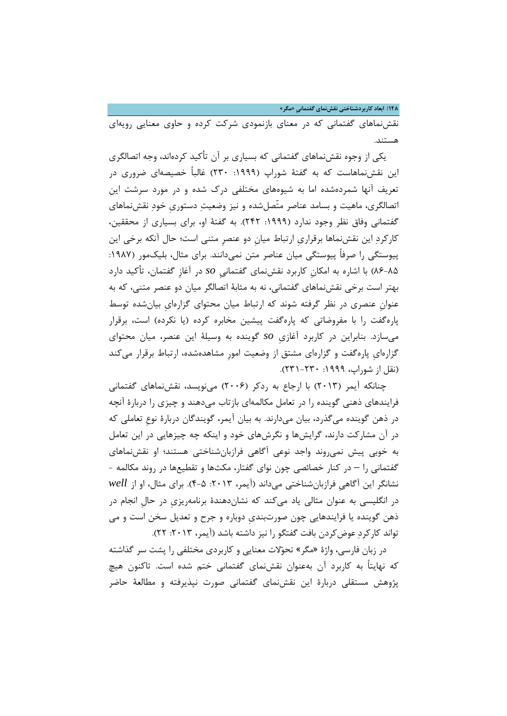**/128 ابعاد کاربردشناختی نقشنماي گفتمانیِ «مگر»**

نقشنماهاي گفتمانی که در معناي بازنمودي شرکت کرده و حاوي معنایی رویهاي هستند.

یکی از وجوه نقشنماهاي گفتمانی که بسیاري بر آن تأکید کردهاند، وجه اتصالگري این نقشنماهاست که به گفتۀ شوراپ (:1999 230) غالباً خصیصهاي ضروري در تعریف آنها شمردهشده اما به شیوههاي مختلفی درك شده و در مورد سرشت این اتصالگري، ماهیت و بسامد عناصر متّصلشده و نیز وضعیت دستوريِ خود نقشنماهاي گفتمانی وفاق نظر وجود ندارد (:1999 242). به گفتۀ او، براي بسیاري از محققین، کارکرد این نقشنماها برقراريِ ارتباط میانِ دو عنصرِ متنی است؛ حال آنکه برخی این پیوستگی را صرفاً پیوستگی میان عناصر متن نمیدانند. براي مثال، بلیکمور (:1987 86-85) با اشاره به امکانِ کاربرد نقشنماي گفتمانیِ *so* در آغازِ گفتمان، تأکید دارد بهتر است برخی نقشنماهاي گفتمانی، نه به مثابۀ اتصالگر میان دو عنصر متنی، که به عنوانِ عنصري در نظر گرفته شوند که ارتباط میان محتواي گزارهايِ بیانشده توسط پارهگفت را با مفروضاتی که پارهگفت پیشین مخابره کرده (یا نکرده) است، برقرار میسازد. بنابراین در کاربرد آغازيِ *so* گوینده به وسیلۀ این عنصر، میان محتواي گزارهايِ پارهگفت و گزارهاي مشتق از وضعیت امورِ مشاهدهشده، ارتباط برقرار میکند (نقل از شوراپ، ۱۹۹۹: ۲۳۰-۲۳۱).

چنانکه آیمر (2013) با ارجاع به ردکر (2006) مینویسد، نقشنماهاي گفتمانی فرایندهاي ذهنی گوینده را در تعامل مکالمهاي بازتاب میدهند و چیزي را دربارة آنچه در ذهن گوینده میگذرد، بیان میدارند. به بیان آیمر، گویندگان دربارة نوعِ تعاملی که در آن مشارکت دارند، گرایشها و نگرشهاي خود و اینکه چه چیزهایی در این تعامل به خوبی پیش نمیروند واجد نوعی آگاهی فرازبانشناختی هستند؛ او نقشنماهاي گفتمانی را – در کنار خصائصی چون نواي گفتار، مکثها و تقطیعها در روند مکالمه - نشانگر این آگاهیِ فرازبانشناختی میداند (آیمر، :2013 4-5). براي مثال، او از *well* در انگلیسی به عنوان مثالی یاد میکند که نشاندهندة برنامهریزيِ در حالِ انجام در ذهن گوینده یا فرایندهایی چون صورتبنديِ دوباره و جرح و تعدیل سخن است و می تواند کارکردِ عوضکردن بافت گفتگو را نیز داشته باشد (آیمر، ۲۰۱۳: ۲۲).

در زبان فارسی، واژة «مگر» تحولات معنایی و کاربردي مختلفی را پشت سر گذاشته که نهایتاً به کاربرد آن بهعنوان نقشنماي گفتمانی ختم شده است. تاکنون هیچ پژوهش مستقلی دربارة این نقشنماي گفتمانی صورت نپذیرفته و مطالعۀ حاضر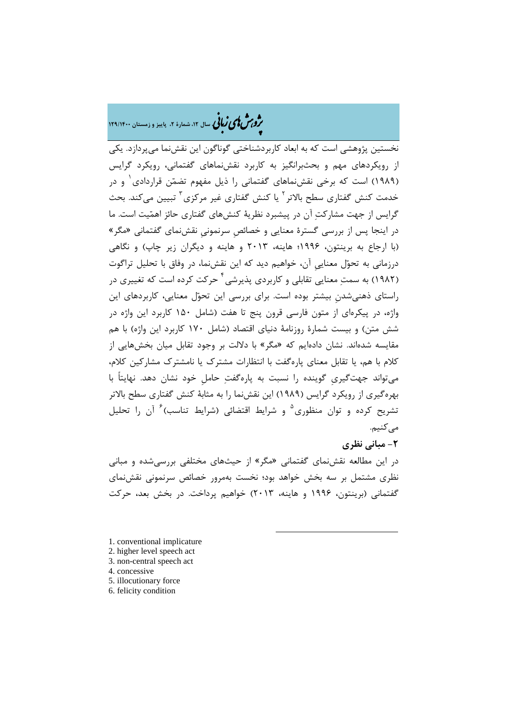## مردم مشمع **کاربا فی** سال ۱۲، شمارهٔ ۲، پاییز و زمستان ۱۲۹/۱۴۰۰

نخستین پژوهشی است که به ابعاد کاربردشناختی گوناگون این نقشنما میپردازد. یکی از رویکردهاي مهم و بحثبرانگیز به کاربرد نقشنماهاي گفتمانی، رویکرد گرایس [1](#page-6-0) (1989) است که برخی نقشنماهاي گفتمانی را ذیل مفهوم تضمن قراردادي و در خدمت کنش گفتاري سطح بالاتر<sup>۲</sup> یا کنش گفتاري غیر مرکزي<sup>۲</sup> تبيين ميکند. بحث گرایس از جهت مشارکت آن در پیشبرد نظریۀ کنشهاي گفتاري حائز اهمیت است. ما در اینجا پس از بررسی گسترة معنایی و خصائصِ سرنمونیِ نقشنماي گفتمانی «مگر» (با ارجاع به برینتون، 1996؛ هاینه، 2013 و هاینه و دیگران زیر چاپ) و نگاهی درزمانی به تحول معناییِ آن، خواهیم دید که این نقشنما، در وفاق با تحلیل تراگوت (۱۹۸۲) به سمت معنایی تقابلی و کاربردی پذیرشی<sup>۲</sup> حرکت کرده است که تغییری در راستاي ذهنیشدنِ بیشتر بوده است. براي بررسی این تحول معنایی، کاربردهاي این واژه، در پیکرهاي از متون فارسی قرون پنج تا هفت (شامل 150 کاربرد این واژه در شش متن) و بیست شمارة روزنامۀ دنیاي اقتصاد (شامل 170 کاربرد این واژه) با هم مقایسه شدهاند. نشان دادهایم که «مگر» با دلالت بر وجود تقابل میان بخشهایی از کلام با هم، یا تقابل معناي پارهگفت با انتظارات مشترك یا نامشترك مشارکین کلام، میتواند جهتگیريِ گوینده را نسبت به پارهگفت حاملِ خود نشان دهد. نهایتاً با بهرهگیري از رویکرد گرایس (1989) این نقشنما را به مثابۀ کنش گفتاري سطح بالاتر تشریح کرده و توان منظوری<sup>۵</sup> و شرایط اقتضائی (شرایط تناسب) <sup>۶</sup> آن را تحلیل مے کنیم.

**-2 مبانی نظري**  در این مطالعه نقشنماي گفتمانی «مگر» از حیثهاي مختلفی بررسیشده و مبانی نظري مشتمل بر سه بخش خواهد بود؛ نخست بهمرور خصائص سرنمونی نقشنماي گفتمانی (برینتون، 1996 و هاینه، 2013) خواهیم پرداخت. در بخش بعد، حرکت

1

<span id="page-6-1"></span><span id="page-6-0"></span>[1.](#page-6-5) conventional implicature

- <span id="page-6-2"></span>2. higher level speech act
- <span id="page-6-3"></span>3. non-central speech act
- <span id="page-6-4"></span>4. concessive
- <span id="page-6-5"></span>5. illocutionary force
- 6. felicity condition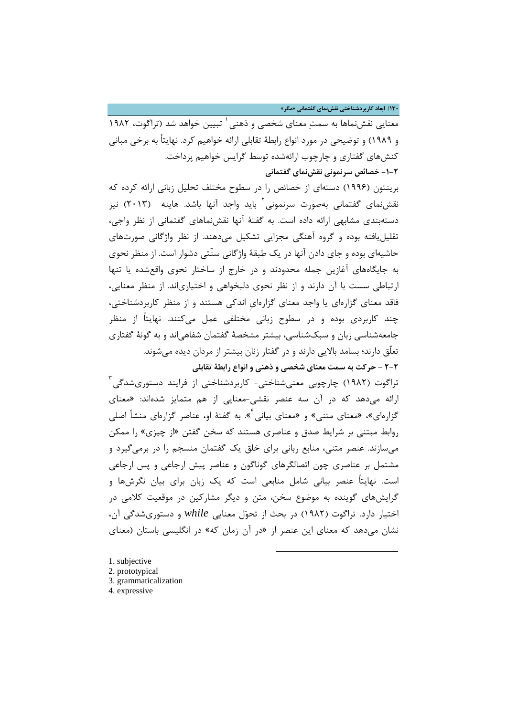**/130 ابعاد کاربردشناختی نقشنماي گفتمانیِ «مگر»**

سعنایی نقش نماها به سمت معنای شخصی و ذهنی <sup>۱</sup> تبیین خواهد شد (تراگوت، ۱۹۸۲ و 1989) و توضیحی در مورد انواع رابطۀ تقابلی ارائه خواهیم کرد. نهایتاً به برخی مبانی کنشهاي گفتاري و چارچوب ارائهشده توسط گرایس خواهیم پرداخت. **-1-2 خصائص سرنمونی نقشنماي گفتمانی** 

برینتون (1996) دستهاي از خصائص را در سطوح مختلف تحلیل زبانی ارائه کرده که نقشنمای گفتمانی بهصورت سرنمونی<sup>٬</sup> باید واجد آنها باشد. هاینه (۲۰۱۳) نیز دستهبندي مشابهی ارائه داده است. به گفتۀ آنها نقشنماهاي گفتمانی از نظر واجی، تقلیلیافته بوده و گروه آهنگی مجزایی تشکیل میدهند. از نظر واژگانی صورتهاي حاشیهاي بوده و جاي دادن آنها در یک طبقۀ واژگانی سنّتی دشوار است. از منظر نحوي به جایگاههاي آغازین جمله محدودند و در خارج از ساختار نحوي واقعشده یا تنها ارتباطی سست با آن دارند و از نظر نحوي دلبخواهی و اختیارياند. از منظر معنایی، فاقد معناي گزارهاي یا واجد معناي گزارهايِ اندکی هستند و از منظر کاربردشناختی، چند کاربردي بوده و در سطوح زبانی مختلفی عمل میکنند. نهایتاً از منظر جامعهشناسی زبان و سبکشناسی، بیشتر مشخصۀ گفتمان شفاهیاند و به گونۀ گفتاري تعلّق دارند؛ بسامد بالایی دارند و در گفتار زنان بیشتر از مردان دیده میشوند. **2-2 - حرکت به سمت معناي شخصی و ذهنی و انواع رابطۀ تقابلی**

تراگوت (۱۹۸۲) چارچوبی معنیشناختی- کاربردشناختی از فرایند دستوریشدگی<sup>۳</sup> ارائه میدهد که در آن سه عنصر نقشی-معنایی از هم متمایز شدهاند: «معناي گزارهاي[»](#page-7-3)، «معناي متني» و «معناي بيانی<sup>۴</sup>». به گفتهٔ او، عناصر گزارهاي منشأ اصلي روابط مبتنی بر شرایط صدق و عناصري هستند که سخن گفتن «از چیزي» را ممکن میسازند. عنصر متنی، منابع زبانی براي خلق یک گفتمان منسجم را در برمیگیرد و مشتمل بر عناصري چون اتصالگرهاي گوناگون و عناصر پیش ارجاعی و پس ارجاعی است. نهایتاً عنصر بیانی شامل منابعی است که یک زبان براي بیان نگرشها و گرایشهاي گوینده به موضوع سخن، متن و دیگر مشارکین در موقعیت کلامی در اختیار دارد. تراگوت (1982) در بحث از تحول معنایی *while* و دستوريشدگی آن، نشان میدهد که معناي این عنصر از «در آن زمان که» در انگلیسی باستان (معناي

1

- <span id="page-7-1"></span><span id="page-7-0"></span>1. subjective 2. prototypical 3. grammaticalization
- <span id="page-7-3"></span><span id="page-7-2"></span>4. expressive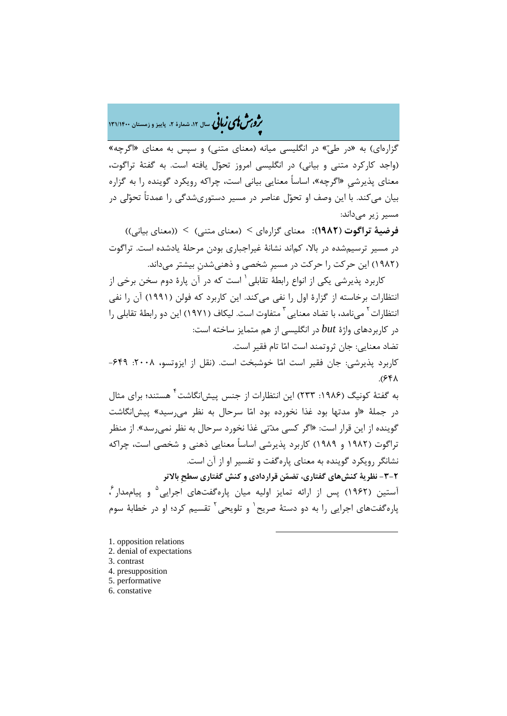�ی زبا **، سال ،12 شمارة ،2 پاییز و زمستان 131/1400** � �و ی �ش

گزارهاي) به «در طيّ» در انگليسی ميانه (معناي متنی) و سپس به معناي «اگرچه» (واجد کارکرد متنی و بیانی) در انگلیسی امروز تحول یافته است. به گفتۀ تراگوت، معناي پذیرشیِ «اگرچه»، اساساً معنایی بیانی است، چراکه رویکرد گوینده را به گزاره بیان میکند. با این وصف او تحول عناصر در مسیر دستوريشدگی را عمدتاً تحولی در مسیر زیر میداند:

**فرضیۀ تراگوت (1982):** معناي گزارهاي > (معناي متنی) > ((معناي بیانی)) در مسیر ترسیمشده در بالا، کماند نشانۀ غیراجباري بودن مرحلۀ یادشده است. تراگوت (1982) این حرکت را حرکت در مسیرِ شخصی و ذهنیشدنِ بیشتر میداند.

کاربرد پذیرشی یکی از انواع رابطۀ تقابلی ٰ است که در آن پارۀ دوم سخن برخی از انتظارات برخاسته از گزارة اول را نفی میکند. این کاربرد که فولن (1991) آن را نفی 'نتظارات <sup>۲</sup> میiامد، با تضاد معنایی <sup>۳</sup> متفاوت است. لیکاف (۱۹۷۱) این دو رابطۀ تقابلی را در کاربردهاي واژة *but* در انگلیسی از هم متمایز ساخته است: تضاد معنایی: جان ثروتمند است اما تام فقیر است.

کاربرد پذیرشی: جان فقیر است امّا خوشبخت است. (نقل از ایزوتسو، ۲۰۰۸: ۶۴۹–  $A$ 

به گفتۀ کونیگ (۱۹۸۶: ۲۳۳) این انتظارات از جنس پیش|نگاشت<sup>۴</sup> هستند؛ برای مثال در جملۀ «او مدتها بود غذا نخورده بود اما سرحال به نظر میرسید» پیشانگاشت گوینده از این قرار است: «اگر کسی مدتی غذا نخورد سرحال به نظر نمیرسد». از منظر تراگوت (1982 و 1989) کاربرد پذیرشی اساساً معنایی ذهنی و شخصی است، چراکه نشانگر رویکرد گوینده به معناي پارهگفت و تفسیر او از آن است. **-3-2 نظریۀ کنشهاي گفتاري، تضمن قراردادي و کنش گفتاري سطحِ بالاتر** آستین (۱۹۶۲) پس از ارائه تمایز اولیه میان پارهگفتهای اجرایی<sup>۵</sup> و پیاممدار ٔ، یاره گفتهای اجرایی را به دو دستۀ صریح` و تلویحی<sup>۲</sup> تقسیم کرد؛ او در خطابۀ سوم

1

- <span id="page-8-7"></span><span id="page-8-6"></span><span id="page-8-0"></span>[1.](#page-8-7) opposition relations
- <span id="page-8-1"></span>2. denial of expectations
- <span id="page-8-2"></span>3. contrast
- <span id="page-8-3"></span>4. presupposition
- <span id="page-8-4"></span>5. performative
- <span id="page-8-5"></span>6. constative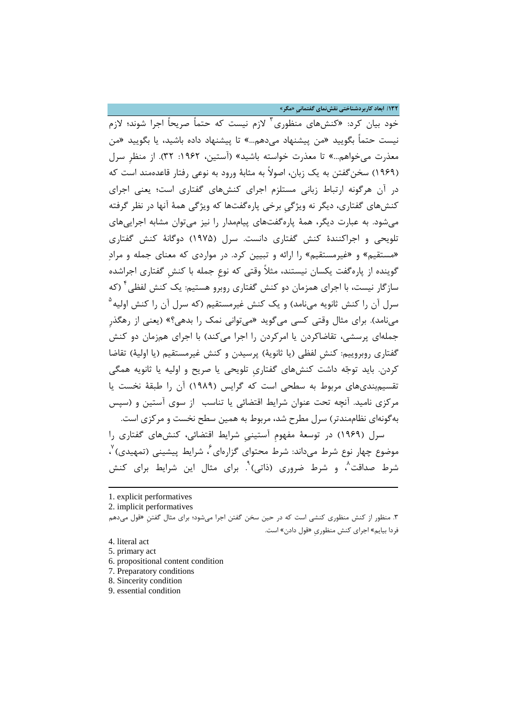**/132 ابعاد کاربردشناختی نقشنماي گفتمانیِ «مگر»**

خود بیان کرد: «کنشهای منظوری<sup>۳</sup> لازم نیست که حتماً صریحاً اجرا شوند؛ لازم نیست حتماً بگویید «من پیشنهاد میدهم...» تا پیشنهاد داده باشید، یا بگویید «من معذرت میخواهم...» تا معذرت خواسته باشید» (آستین، :1962 32). از منظرِ سرل (1969) سخنگفتن به یک زبان، اصولاً به مثابۀ ورود به نوعی رفتار قاعدهمند است که در آن هرگونه ارتباط زبانی مستلزم اجراي کنشهاي گفتاري است؛ یعنی اجراي کنشهاي گفتاري، دیگر نه ویژگیِ برخی پارهگفتها که ویژگی همۀ آنها در نظر گرفته میشود. به عبارت دیگر، همۀ پارهگفتهاي پیاممدار را نیز میتوان مشابه اجراییهاي تلویحی و اجراکنندة کنش گفتاري دانست. سرل (1975) دوگانۀ کنش گفتاري «مستقیم» و «غیرمستقیم» را ارائه و تبیین کرد. در مواردي که معناي جمله و مراد گوینده از پارهگفت یکسان نیستند، مثلاً وقتی که نوعِ جمله با کنشِ گفتاري اجراشده سازگار نیست، با اجراي همزمان دو کنش گفتاري روبرو هستیم: یک کنش لفظی <sup>۲</sup> (که 5 سرل آن را کنش ثانویه مینامد) و یک کنش غیرمستقیم (که سرل آن را کنش اولیه مینامد). براي مثال وقتی کسی میگوید «میتوانی نمک را بدهی؟» (یعنی از رهگذرِ جملهاي پرسشی، تقاضاکردن یا امرکردن را اجرا میکند) با اجراي همزمان دو کنش گفتاري روبروییم: کنشِ لفظی (یا ثانویۀ) پرسیدن و کنش غیرمستقیم (یا اولیۀ) تقاضا کردن. باید توجه داشت کنشهاي گفتاريِ تلویحی یا صریح و اولیه یا ثانویه همگی تقسیمبنديهاي مربوط به سطحی است که گرایس (1989) آن را طبقۀ نخست یا مرکزي نامید. آنچه تحت عنوان شرایط اقتضائی یا تناسب از سوي آستین و (سپس بهگونهاي نظاممندتر) سرل مطرح شد، مربوط به همین سطح نخست و مرکزي است. سرل [\(1969](#page-9-2)) در توسعۀ مفهومِ آستینیِ شرایط اقتضائی، کنشهاي گفتاري را موضوع چهار نوع شرط مىداند: شرط محتواى گزارهاى ٔ، شرايط پيشينى (تمهيدى) ٔ، شرط صداقت^، و شرط ضروری (ذاتی)``. برای مثال این شرایط برای کنش

[1.](#page-9-6) explicit performatives

2. implicit performatives

**.** 

- <span id="page-9-2"></span>5. primary act
- <span id="page-9-3"></span>6. propositional content condition
- <span id="page-9-4"></span>7. Preparatory conditions
- <span id="page-9-5"></span>8. Sincerity condition
- <span id="page-9-6"></span>9. essential condition

<span id="page-9-0"></span><sup>.3</sup> منظور از کنش منظوري کنشی است که در حین سخن گفتن اجرا میشود؛ براي مثال گفتنِ «قول میدهم فردا بیایم» اجراي کنش منظوريِ «قول دادن» است.

<span id="page-9-1"></span><sup>4.</sup> literal act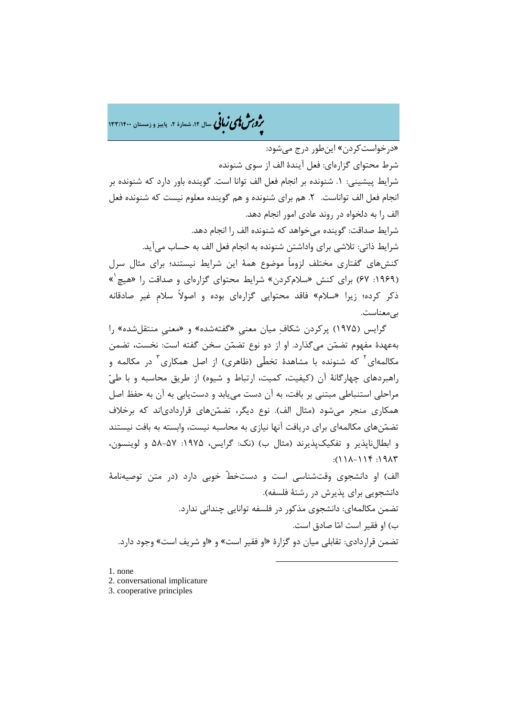�ی زبا **، سال ،12 شمارة ،2 پاییز و زمستان 133/1400** � �و ی �ش

«درخواستکردن» اینطور درج میشود: شرط محتواي گزارهاي: فعل آیندة الف از سوي شنونده شرایط پیشینی: .1 شنونده بر انجام فعل الف توانا است. گوینده باور دارد که شنونده بر انجام فعل الف تواناست. .2 هم براي شنونده و هم گوینده معلوم نیست که شنونده فعل الف را به دلخواه در روند عادي امور انجام دهد. شرایط صداقت: گوینده میخواهد که شنونده الف را انجام دهد. شرایط ذاتی: تلاشی براي واداشتن شنونده به انجام فعل الف به حساب میآید. کنشهاي گفتاري مختلف لزوماً موضوع همۀ این شرایط نیستند؛ براي مثال سرل » 1 (:1969 67) براي کنش «سلامکردن» شرایط محتواي گزارهاي و صداقت را «هیچ ذکر کرده؛ زیرا «سلام» فاقد محتوایی گزارهاي بوده و اصولاً سلامِ غیر صادقانه بیمعناست.

گرایس [\(1975\)](#page-10-0) پرکردن شکاف میان معنیِ «گفتهشده» و «معنیِ منتقلشده» را بهعهدة مفهوم تضمن میگذارد. او از دو نوع تضمن سخن گفته است: نخست، تضمن مکالمهای<sup>۲</sup> که شنونده با مشاهدهٔ تخطّی (ظاهری) از اصل همکاری<sup>۲</sup> در مکالمه و راهبردهاي چهارگانۀ آن (کیفیت، کمیت، ارتباط و شیوه) از طریق محاسبه و با طی مراحلی استنباطی مبتنی بر بافت، به آن دست مییابد و دستیابی به آن به حفظ اصل همکاري منجر میشود (مثال الف). نوع دیگر، تضمنهاي قراردادياند که برخلاف تضمنهاي مکالمهاي براي دریافت آنها نیازي به محاسبه نیست، وابسته به بافت نیستند و ابطالناپذیر و تفکیکپذیرند (مثال ب) (نک: گرایس، :1975 58-57 و لوینسون،  $711 - 111 - 111$ : الف) او دانشجوي وقتشناسی است و دستخطّ خوبی دارد (در متن توصیهنامۀ دانشجویی براي پذیرش در رشتۀ فلسفه). تضمن مکالمهاي: دانشجوي مذکور در فلسفه توانایی چندانی ندارد. ب) او فقیر است اما صادق است.

تضمن قراردادي: تقابلی میان دو گزارة «او فقیر است» و «او شریف است» وجود دارد.

**.** 

<span id="page-10-1"></span><span id="page-10-0"></span>[1.](#page-10-2) none

- 2. conversational implicature
- <span id="page-10-2"></span>3. cooperative principles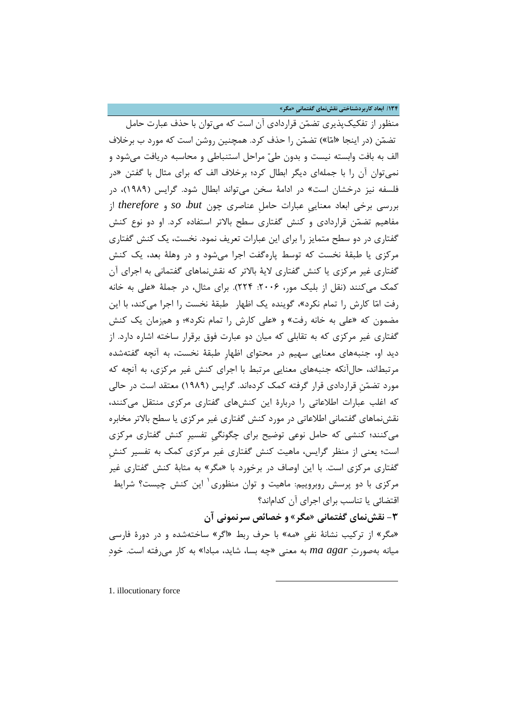**/134 ابعاد کاربردشناختی نقشنماي گفتمانیِ «مگر»**

منظور از تفکیکپذیري تضمن قراردادي آن است که میتوان با حذف عبارت حامل تضمن (در اینجا «اما») تضمن را حذف کرد. همچنین روشن است که مورد ب برخلاف الف به بافت وابسته نیست و بدون طی مراحل استنباطی و محاسبه دریافت میشود و نمیتوان آن را با جملهاي دیگر ابطال کرد؛ برخلاف الف که براي مثال با گفتن «در فلسفه نیز درخشان است» در ادامۀ سخن میتواند ابطال شود. گرایس (1989)، در بررسی برخی ابعاد معناییِ عبارات حاملِ عناصري چون *but*، *so* و *therefore* از مفاهیم تضمن قراردادي و کنش گفتاري سطح بالاتر استفاده کرد. او دو نوع کنش گفتاري در دو سطح متمایز را براي این عبارات تعریف نمود. نخست، یک کنش گفتاري مرکزي یا طبقۀ نخست که توسط پارهگفت اجرا میشود و در وهلۀ بعد، یک کنش گفتاري غیر مرکزي یا کنش گفتاري لایۀ بالاتر که نقشنماهاي گفتمانی به اجراي آن کمک میکنند (نقل از بلیک مور، :2006 224). براي مثال، در جملۀ «علی به خانه رفت اما کارش را تمام نکرد»، گوینده یک اظهار طبقۀ نخست را اجرا میکند، با این مضمون که «علی به خانه رفت» و «علی کارش را تمام نکرد»؛ و همزمان یک کنش گفتاري غیر مرکزي که به تقابلی که میان دو عبارت فوق برقرار ساخته اشاره دارد. از دید او، جنبههاي معنایی سهیم در محتواي اظهارِ طبقۀ نخست، به آنچه گفتهشده مرتبطاند، حالآنکه جنبههاي معنایی مرتبط با اجراي کنش غیر مرکزي، به آنچه که مورد تضمنِ قراردادي قرار گرفته کمک کردهاند. گرایس (1989) معتقد است در حالی که اغلب عبارات اطلاعاتی را دربارة این کنشهاي گفتاري مرکزي منتقل میکنند، نقشنماهاي گفتمانی اطلاعاتی در مورد کنش گفتاري غیر مرکزي یا سطح بالاتر مخابره میکنند؛ کنشی که حامل نوعی توضیح براي چگونگیِ تفسیرِ کنش گفتاري مرکزي است؛ یعنی از منظر گرایس، ماهیت کنش گفتاري غیر مرکزي کمک به تفسیر کنشِ گفتاري مرکزي است. با این اوصاف در برخورد با «مگر» به مثابۀ کنش گفتاري غیر مرکزی با دو پرسش روبروییم: ماهیت و توان منظوری یاین کنش چیست؟ شرایط اقتضائی یا تناسب براي اجراي آن کداماند؟

**-3 نقشنماي گفتمانی «مگر» و خصائص سرنمونی آن**  «مگر» از ترکیب نشانۀ نفیِ «مه» با حرف ربط «اگر» ساختهشده و در دورة فارسی میانه بهصورت *agar ma* به معنی «چه بسا، شاید، مبادا» به کار میرفته است. خود

 $\overline{a}$ 

<span id="page-11-0"></span>1. illocutionary force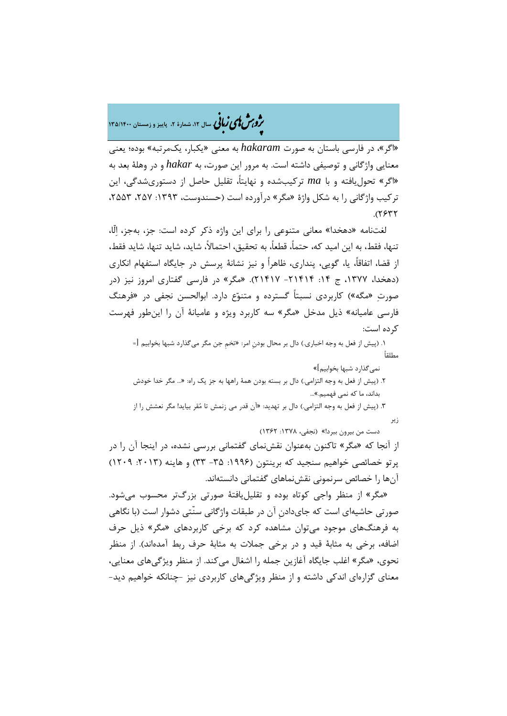# م**روبرش لای زبانی** سال ۱۲، شمارهٔ ۲، پاییز و زمستان ۱۳۵/۱۴۰۰

«اگر»، در فارسی باستان به صورت *hakaram* به معنی «یکبار، یکمرتبه» بوده؛ یعنی معنایی واژگانی و توصیفی داشته است. به مرور این صورت، به *hakar* و در وهلۀ بعد به «اگر» تحولیافته و با *ma* ترکیبشده و نهایتا،ً تقلیل حاصل از دستوريشدگی، این ترکیب واژگانی را به شکل واژة «مگر» درآورده است (حسندوست، :1393 ،257 ،2553  $.$   $(7577)$ 

لغتنامه «دهخدا» معانی متنوعی را براي این واژه ذکر کرده است: جز، بهجز، الّا، تنها، فقط، به این امید که، حتما،ً قطعا،ً به تحقیق، احتمالا،ً شاید، شاید تنها، شاید فقط، از قضا، اتفاقا،ً یا، گویی، پنداري، ظاهراً و نیز نشانۀ پرسش در جایگاه استفهام انکاري (دهخدا، ۱۳۷۷، ج ۱۴: ۲۱۴۱۴– ۲۱۴۱۷). «مگر» در فارسی گفتاری امروز نیز (در صورت» مگه») کاربردي نسبتاً گسترده و متنوع دارد. ابوالحسن نجفی در «فرهنگ فارسی عامیانه» ذیل مدخل «مگر» سه کاربرد ویژه و عامیانۀ آن را اینطور فهرست کرده است:

.1 (پیش از فعل به وجه اخباري.) دال بر محال بودنِ امر: «تخمِ جن مگر میگذارد شبها بخوابیم [= مطلقاً

 نمیگذارد شبها بخوابیم]» .2 (پیش از فعل به وجه التزامی.) دال بر بسته بودن همۀ راهها به جز یک راه: «... مگر خدا خودش بداند، ما که نمی فهمیم.»... .3 (پیش از فعل به وجه التزامی.) دال بر تهدید: «آن قدر می زنمش تا مقر بیاید! مگر نعشش را از زیر

دست من بیرون ببرد!» (نجفی، :1378 1362)

از آنجا که «مگر» تاکنون بهعنوان نقشنماي گفتمانی بررسی نشده، در اینجا آن را در پرتو خصائصی خواهیم سنجید که برینتون (۱۹۹۶: ۳۵ - ۳۳) و هاینه (۲۰۱۳: ۱۲۰۹) آنها را خصائص سرنمونی نقشنماهاي گفتمانی دانستهاند.

 «مگر» از منظر واجی کوتاه بوده و تقلیلیافتۀ صورتی بزرگتر محسوب میشود. صورتی حاشیهاي است که جايدادنِ آن در طبقات واژگانی سنّتی دشوار است (با نگاهی به فرهنگهاي موجود میتوان مشاهده کرد که برخی کاربردهاي «مگر» ذیل حرف اضافه، برخی به مثابۀ قید و در برخی جملات به مثابۀ حرف ربط آمدهاند). از منظر نحوي، «مگر» اغلب جایگاه آغازین جمله را اشغال میکند. از منظر ویژگیهاي معنایی، معناي گزارهاي اندکی داشته و از منظر ویژگیهاي کاربردي نیز -چنانکه خواهیم دید-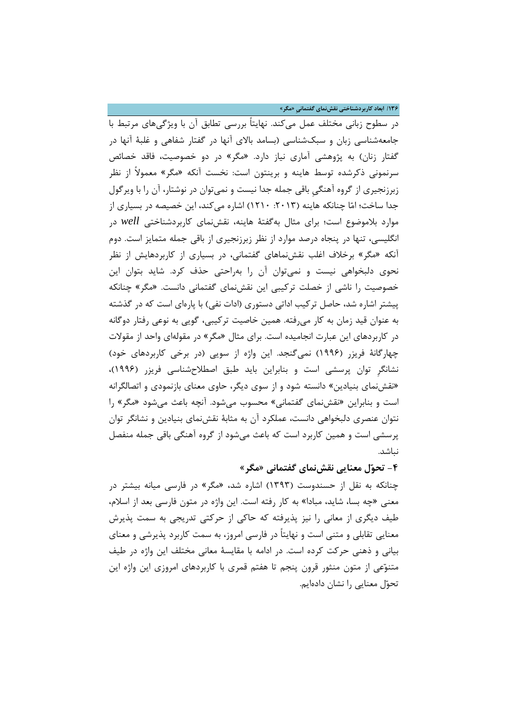**/136 ابعاد کاربردشناختی نقشنماي گفتمانیِ «مگر»**

در سطوح زبانی مختلف عمل میکند. نهایتاً بررسی تطابق آن با ویژگیهاي مرتبط با جامعهشناسی زبان و سبکشناسی (بسامد بالاي آنها در گفتار شفاهی و غلبۀ آنها در گفتار زنان) به پژوهشی آماري نیاز دارد. «مگر» در دو خصوصیت، فاقد خصائص سرنمونی ذکرشده توسط هاینه و برینتون است: نخست آنکه «مگر» معمولاً از نظر زبرزنجیري از گروه آهنگیِ باقی جمله جدا نیست و نمیتوان در نوشتار، آن را با ویرگول جدا ساخت؛ اما چنانکه هاینه (:2013 1210) اشاره میکند، این خصیصه در بسیاري از موارد بلاموضوع است؛ براي مثال بهگفتۀ هاینه، نقشنماي کاربردشناختی *well* در انگلیسی، تنها در پنجاه درصد موارد از نظر زبرزنجیري از باقی جمله متمایز است. دوم آنکه «مگر» برخلاف اغلب نقشنماهاي گفتمانی، در بسیاري از کاربردهایش از نظر نحوي دلبخواهی نیست و نمیتوان آن را بهراحتی حذف کرد. شاید بتوان این خصوصیت را ناشی از خصلت ترکیبی این نقشنماي گفتمانی دانست. «مگر» چنانکه پیشتر اشاره شد، حاصل ترکیب اداتی دستوري (ادات نفی) با پارهاي است که در گذشته به عنوان قید زمان به کار میرفته. همین خاصیت ترکیبی، گویی به نوعی رفتار دوگانه در کاربردهاي این عبارت انجامیده است. براي مثال «مگر» در مقولهاي واحد از مقولات چهارگانۀ فریزر (1996) نمیگنجد. این واژه از سویی (در برخی کاربردهاي خود) نشانگرِ توان پرسشی است و بنابراین باید طبق اصطلاحشناسی فریزر (1996)، «نقشنماي بنیادین» دانسته شود و از سوي دیگر، حاوي معناي بازنمودي و اتصالگرانه است و بنابراین «نقشنماي گفتمانی» محسوب میشود. آنچه باعث میشود «مگر» را نتوان عنصري دلبخواهی دانست، عملکرد آن به مثابۀ نقشنماي بنیادین و نشانگر توان پرسشی است و همین کاربرد است که باعث میشود از گروه آهنگی باقی جمله منفصل نباشد.

## **-4 تحول معنایی نقشنماي گفتمانی «مگر»**

چنانکه به نقل از حسندوست (1393) اشاره شد، «مگر» در فارسی میانه بیشتر در معنی «چه بسا، شاید، مبادا» به کار رفته است. این واژه در متون فارسی بعد از اسلام، طیف دیگري از معانی را نیز پذیرفته که حاکی از حرکتی تدریجی به سمت پذیرش معنایی تقابلی و متنی است و نهایتاً در فارسی امروز، به سمت کاربرد پذیرشی و معناي بیانی و ذهنی حرکت کرده است. در ادامه با مقایسۀ معانی مختلف این واژه در طیف متنوعی از متون منثور قرون پنجم تا هفتم قمري با کاربردهاي امروزي این واژه این تحول معنایی را نشان دادهایم.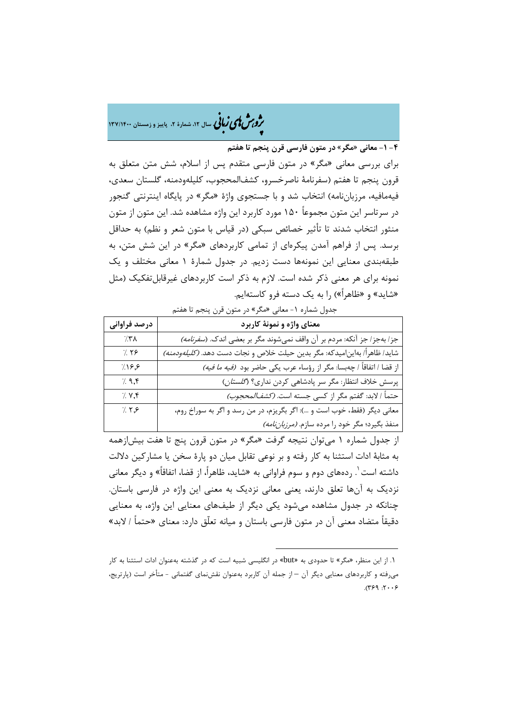�ی زبا **، سال ،12 شمارة ،2 پاییز و زمستان 137/1400** � �و ی �ش

**-4 -1 معانی «مگر» در متون فارسی قرن پنجم تا هفتم**

براي بررسی معانی «مگر» در متون فارسی متقدم پس از اسلام، شش متن متعلق به قرون پنجم تا هفتم (سفرنامۀ ناصرخسرو، کشفالمحجوب، کلیلهودمنه، گلستان سعدي، فیهمافیه، مرزباننامه) انتخاب شد و با جستجوي واژة «مگر» در پایگاه اینترنتی گنجور در سرتاسر این متون مجموعاً 150 مورد کاربرد این واژه مشاهده شد. این متون از متون منثور انتخاب شدند تا تأثیر خصائص سبکی (در قیاس با متون شعر و نظم) به حداقل برسد. پس از فراهم آمدن پیکرهاي از تمامی کاربردهاي «مگر» در این شش متن، به طبقهبندي معنایی این نمونهها دست زدیم. در جدول شمارة 1 معانی مختلف و یک نمونه براي هر معنی ذکر شده است. لازم به ذکر است کاربردهاي غیرقابلتفکیک (مثل «شاید» و «ظاهراً») را به یک دسته فرو کاستهایم.

جدول شماره ۱- معانی «مگر» در متون قرن پنجم تا هفتم

| درصد فراوانی      | معناي واژه و نمونهٔ کاربرد                                                        |
|-------------------|-----------------------------------------------------------------------------------|
| $/$ ۳۸            | جز/ بهجز/ جز آنكه: مردم بر آن واقف نمىشوند مگر بر بعضى اندک. ( <i>سفرنامه)</i>    |
| 7.79              | شايد/ ظاهراً/ بهاين ميدكه: مگر بدين حيلت خلاص و نجات دست دهد. <i>(كليلهودمنه)</i> |
| 719,8             | از قضا / اتفاقاً / چهبسا: مگر از رؤساء عرب يكي حاضر بود <i>(فيه ما فيه)</i>       |
| $/$ 9, $\uparrow$ | پرسش خلاف انتظار: مگر سر پادشاهی کردن نداری؟ (گلست <i>ان)</i>                     |
| 7.47              | حتماً / لابد: گفتم مگر از کسی جسته است. <i>(کشفالمحجوب)</i>                       |
| 7.77              | معاني ديگر (فقط، خوب است و ): اگر بگريزم، در من رسد و اگر به سوراخ روم،           |
|                   | منفذ بگیرد؛ مگر خود را مرده سازم. <i>(مرزباننامه)</i>                             |

از جدول شماره 1 میتوان نتیجه گرفت «مگر» در متون قرون پنج تا هفت بیشازهمه به مثابۀ ادات استثنا به کار رفته و بر نوعی تقابل میان دو پارة سخن یا مشارکین دلالت داشته است <sup>۱</sup>. ردههای دوم و سوم فراوانی به «شاید، ظاهراً، از قضا، اتفاقاً» و دیگر معانی نزدیک به آنها تعلق دارند، یعنی معانی نزدیک به معنی این واژه در فارسی باستان. چنانکه در جدول مشاهده میشود یکی دیگر از طیفهاي معنایی این واژه، به معنایی دقیقاً متضاد معنی آن در متون فارسی باستان و میانه تعلّق دارد: معناي «حتماً / لابد»

**.** 

<span id="page-14-0"></span><sup>.</sup>[1](#page-14-0) از این منظر، «مگر» تا حدودي به «but «در انگلیسی شبیه است که در گذشته بهعنوان ادات استثنا به کار میرفته و کاربردهاي معنایی دیگر آن – از جمله آن کاربرد بهعنوان نقشنماي گفتمانی - متأخر است (پارتریج،  $9.17:997$ .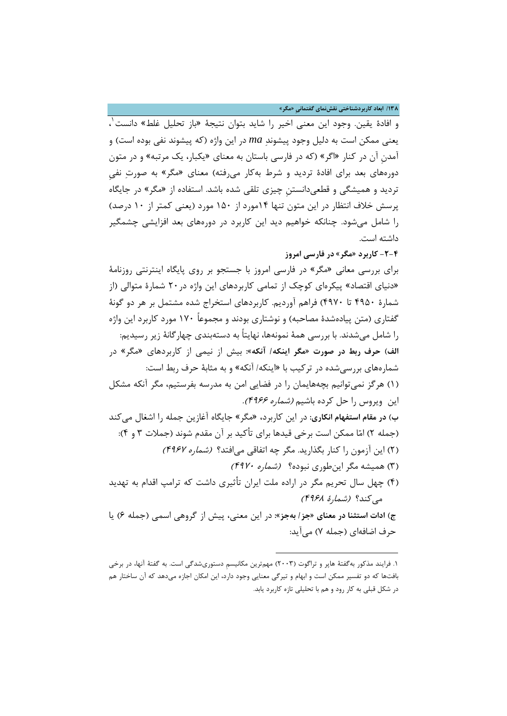**/138 ابعاد کاربردشناختی نقشنماي گفتمانیِ «مگر»**

[1](#page-15-0) و افادة یقین. وجود این معنی اخیر را شاید بتوان نتیجۀ «باز تحلیل غلط» دانست ، یعنی ممکن است به دلیل وجود پیشوند *ma* در این واژه (که پیشوند نفی بوده است) و آمدنِ آن در کنار «اگر» (که در فارسی باستان به معناي «یکبار، یک مرتبه» و در متون دورههاي بعد براي افادة تردید و شرط بهکار میرفته) معناي «مگر» به صورت نفیِ تردید و همیشگی و قطعیدانستنِ چیزي تلقی شده باشد. استفاده از «مگر» در جایگاه پرسش خلاف انتظار در این متون تنها 14مورد از 150 مورد (یعنی کمتر از 10 درصد) را شامل میشود. چنانکه خواهیم دید این کاربرد در دورههاي بعد افزایشی چشمگیر داشته است.

## **-2-4 کاربرد «مگر» در فارسی امروز**

براي بررسی معانی «مگر» در فارسی امروز با جستجو بر روي پایگاه اینترنتی روزنامۀ «دنیاي اقتصاد» پیکرهاي کوچک از تمامی کاربردهاي این واژه در20 شمارة متوالی (از شمارة 4950 تا 4970) فراهم آوردیم. کاربردهاي استخراج شده مشتمل بر هر دو گونۀ گفتاري (متن پیادهشدة مصاحبه) و نوشتاري بودند و مجموعاً 170 مورد کاربرد این واژه را شامل میشدند. با بررسی همۀ نمونهها، نهایتاً به دستهبندي چهارگانۀ زیر رسیدیم: **الف) حرف ربط در صورت «مگر اینکه/ آنکه»:** بیش از نیمی از کاربردهاي «مگر» در شمارههاي بررسیشده در ترکیب با «اینکه/ آنکه» و به مثابۀ حرف ربط است: (1) هرگز نمیتوانیم بچههایمان را در فضایی امن به مدرسه بفرستیم، مگر آنکه مشکل این ویروس را حل کرده باشیم *(شماره ۴۹۶۶).* **ب) در مقام استفهام انکاري:** در این کاربرد، «مگر» جایگاه آغازین جمله را اشغال میکند (جمله 2) اما ممکن است برخی قیدها براي تأکید بر آن مقدم شوند (جملات 3 و 4): (2) این آزمون را کنار بگذارید. مگر چه اتفاقی میافتد؟ (شماره 4967) (3) همیشه مگر اینطوري نبوده؟ (شماره 4970) (4) چهل سال تحریم مگر در اراده ملت ایران تأثیري داشت که ترامپ اقدام به تهدید میکند؟ (شمارة 4968)

**ج) ادات استثنا در معناي «جز/ بهجز»:** در این معنی، پیش از گروهی اسمی (جمله 6) یا حرف اضافهاي (جمله 7) میآید:

 $\overline{a}$ 

<span id="page-15-0"></span><sup>.1</sup> فرایند مذکور بهگفتۀ هاپر و تراگوت (2003) مهمترین مکانیسمِ دستوريشدگی است. به گفتۀ آنها، در برخی بافتها که دو تفسیر ممکن است و ابهام و تیرگی معنایی وجود دارد، این امکان اجازه میدهد که آن ساختار هم در شکل قبلی به کار رود و هم با تحلیلی تازه کاربرد یابد.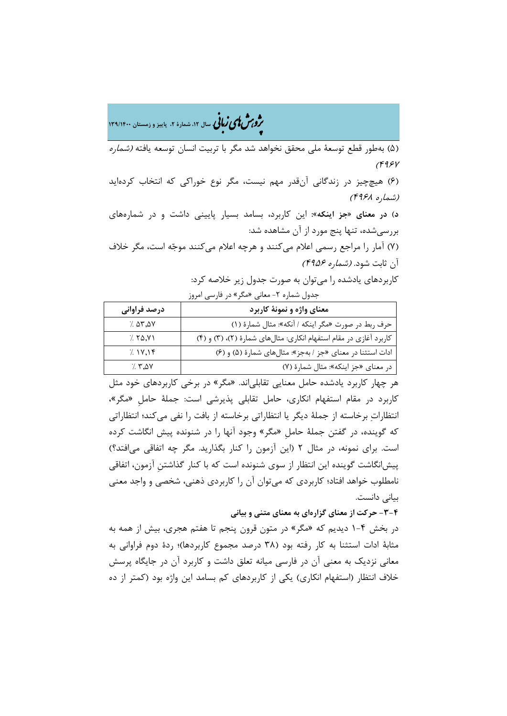�ی زبا **، سال ،12 شمارة ،2 پاییز و زمستان 139/1400** � �و ی �ش

(5) بهطور قطع توسعۀ ملی محقق نخواهد شد مگر با تربیت انسان توسعه یافته (شماره  $(995)$ 

(6) هیچچیز در زندگانی آنقدر مهم نیست، مگر نوع خوراکی که انتخاب کردهاید (شماره 4968)

**د) در معناي «جز اینکه»:** این کاربرد، بسامد بسیار پایینی داشت و در شمارههاي بررسیشده، تنها پنج مورد از آن مشاهده شد:

(Y) آمار را مراجع رسمی اعلام میکنند و هرچه اعلام میکنند موجّه است، مگر خلاف آن ثابت شود. (شماره 4956)

کاربردهاي یادشده را میتوان به صورت جدول زیر خلاصه کرد:

جدول شماره ۲- معانی «مگر» در فارسی امروز

| درصد فراواني | معناي واژه و نمونهٔ کاربرد                                         |
|--------------|--------------------------------------------------------------------|
| 7.07,00      | حرف ربط در صورت «مگر اینکه / آنکه»: مثال شمارهٔ (١)                |
| 7.50, V1     | کاربرد آغازی در مقام استفهام انکاری: مثالهای شمارهٔ (۲)، (۳) و (۴) |
| 7.1Y.19      | ادات استثنا در معنای «جز / بهجز»: مثالهای شمارهٔ (۵) و (۶)         |
| 7.50         | در معنای «جز اینکه»: مثال شمارهٔ (٧)                               |

هر چهار کاربرد یادشده حامل معنایی تقابلیاند. «مگر» در برخی کاربردهاي خود مثل کاربرد در مقام استفهام انکاري، حامل تقابلی پذیرشی است: جملۀ حاملِ «مگر»، انتظارات برخاسته از جملۀ دیگر یا انتظاراتی برخاسته از بافت را نفی میکند؛ انتظاراتی که گوینده، در گفتن جملۀ حاملِ «مگر» وجود آنها را در شنونده پیش انگاشت کرده است. براي نمونه، در مثال 2 (این آزمون را کنار بگذارید. مگر چه اتفاقی میافتد؟) پیشانگاشت گوینده این انتظار از سوي شنونده است که با کنار گذاشتنِ آزمون، اتفاقی نامطلوب خواهد افتاد؛ کاربردي که میتوان آن را کاربردي ذهنی، شخصی و واجد معنی بیانی دانست.

**-3-4 حرکت از معناي گزارهاي به معناي متنی و بیانی** 

در بخش 1-4 دیدیم که «مگر» در متون قرون پنجم تا هفتم هجري، بیش از همه به مثابۀ ادات استثنا به کار رفته بود (38 درصد مجموع کاربردها)؛ ردة دوم فراوانی به معانی نزدیک به معنی آن در فارسی میانه تعلق داشت و کاربرد آن در جایگاه پرسش خلاف انتظار (استفهام انکاري) یکی از کاربردهاي کم بسامد این واژه بود (کمتر از ده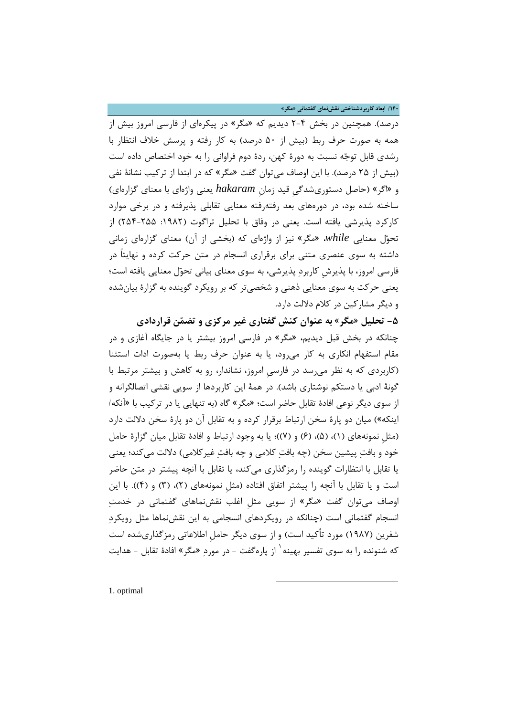**/140 ابعاد کاربردشناختی نقشنماي گفتمانیِ «مگر»**

درصد). همچنین در بخش 2-4 دیدیم که «مگر» در پیکرهاي از فارسی امروز بیش از همه به صورت حرف ربط (بیش از 50 درصد) به کار رفته و پرسش خلاف انتظار با رشدي قابل توجه نسبت به دورة کهن، ردة دوم فراوانی را به خود اختصاص داده است (بیش از 25 درصد). با این اوصاف میتوان گفت «مگر» که در ابتدا از ترکیب نشانۀ نفی و «اگر» (حاصل دستوريشدگیِ قید زمانِ *hakaram* یعنی واژهاي با معناي گزارهاي) ساخته شده بود، در دورههاي بعد رفتهرفته معنایی تقابلی پذیرفته و در برخی موارد کارکرد پذیرشی یافته است. یعنی در وفاق با تحلیل تراگوت (۱۹۸۲: ۲۵۵-۲۵۴) از تحول معنایی *while*،» مگر» نیز از واژهاي که (بخشی از آن) معناي گزارهاي زمانی داشته به سوي عنصري متنی براي برقراري انسجام در متن حرکت کرده و نهایتاً در فارسی امروز، با پذیرشِ کاربرد پذیرشی، به سوي معناي بیانی تحول معنایی یافته است؛ یعنی حرکت به سوي معنایی ذهنی و شخصیتر که بر رویکرد گوینده به گزارة بیانشده و دیگر مشارکین در کلام دلالت دارد.

**-5 تحلیل «مگر» به عنوان کنش گفتاري غیر مرکزي و تضمن قراردادي** چنانکه در بخش قبل دیدیم، «مگر» در فارسی امروز بیشتر یا در جایگاه آغازي و در مقام استفهام انکاري به کار میرود، یا به عنوان حرف ربط یا بهصورت ادات استثنا (کاربردي که به نظر میرسد در فارسیِ امروز، نشاندار، رو به کاهش و بیشتر مرتبط با گونۀ ادبی یا دستکم نوشتاري باشد). در همۀ این کاربردها از سویی نقشی اتصالگرانه و از سوي دیگر نوعی افادة تقابل حاضر است؛ «مگر» گاه (به تنهایی یا در ترکیب با «آنکه/ اینکه») میان دو پارة سخن ارتباط برقرار کرده و به تقابل آن دو پارة سخن دلالت دارد (مثلِ نمونههاي (1)، (5)، (6) و (7))؛ یا به وجود ارتباط و افادة تقابل میان گزارة حامل خود و بافت پیشین سخن (چه بافت کلامی و چه بافت غیرکلامی) دلالت میکند؛ یعنی یا تقابل با انتظارات گوینده را رمزگذاري میکند، یا تقابل با آنچه پیشتر در متن حاضر است و یا تقابل با آنچه را پیشتر اتفاق افتاده (مثلِ نمونههاي (2)، (3) و (4)). با این اوصاف میتوان گفت «مگر» از سویی مثلِ اغلب نقشنماهاي گفتمانی در خدمت انسجام گفتمانی است (چنانکه در رویکردهاي انسجامی به این نقشنماها مثل رویکرد شفرین (1987) مورد تأکید است) و از سوي دیگر حاملِ اطلاعاتی رمزگذاريشده است که شنونده را به سوی تفسیر بهینه <sup>۱</sup> از پارهگفت - در مورد «مگر» افادهٔ تقابل - هدایت

 $\overline{a}$ 

<span id="page-17-0"></span>[1.](#page-17-0) optimal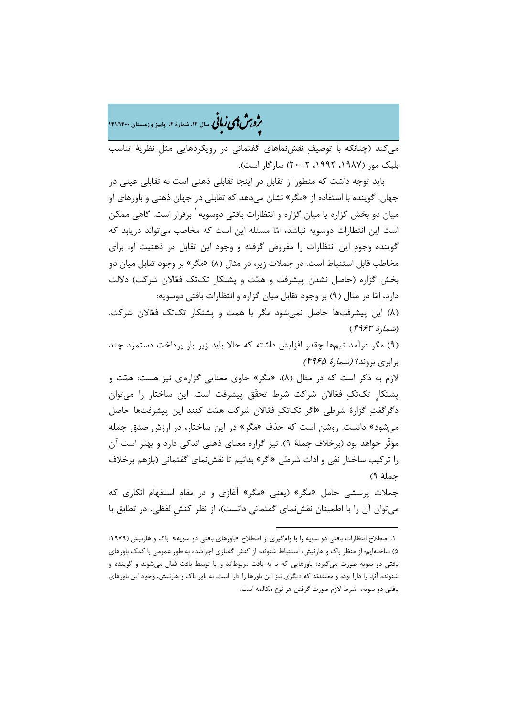م**روس لای زبانی** سال ۱۲، شمارهٔ ۲، پاییز و زمستان ۱۴۱/۱۴۰۰

میکند (چنانکه با توصیف نقشنماهاي گفتمانی در رویکردهایی مثلِ نظریۀ تناسب بلیک مور (،1987 ،1992 2002) سازگار است).

باید توجه داشت که منظور از تقابل در اینجا تقابلی ذهنی است نه تقابلی عینی در جهان. گوینده با استفاده از «مگر» نشان میدهد که تقابلی در جهان ذهنی و باورهاي او میان دو بخش گزاره یا میان گزاره و انتظارات بافتیِ دوسویه <sup>۱</sup> برقرار است. گاهیِ ممکن است این انتظارات دوسویه نباشد، اما مسئله این است که مخاطب میتواند دریابد که گوینده وجود این انتظارات را مفروض گرفته و وجود این تقابل در ذهنیت او، براي مخاطب قابل استنباط است. در جملات زیر، در مثال (8) «مگر» بر وجود تقابل میان دو بخش گزاره (حاصل نشدن پیشرفت و همت و پشتکار تکتک فعالان شرکت) دلالت دارد، اما در مثال (9) بر وجود تقابل میان گزاره و انتظارات بافتی دوسویه:

(8) این پیشرفتها حاصل نمیشود مگر با همت و پشتکار تکتک فعالان شرکت. (شمارة <sup>4963</sup>)

(9) مگر درآمد تیمها چقدر افزایش داشته که حالا باید زیر بار پرداخت دستمزد چند برابري بروند؟ (شمارة 4965)

لازم به ذکر است که در مثال (8)، «مگر» حاوي معنایی گزارهاي نیز هست: همت و پشتکارِ تکتک فعالان شرکت شرط تحقّق پیشرفت است. این ساختار را میتوان دگرگفت گزارة شرطی «اگر تکتک فعالان شرکت همت کنند این پیشرفتها حاصل میشود» دانست. روشن است که حذف «مگر» در این ساختار، در ارزش صدق جمله مؤثّر خواهد بود (برخلاف جملۀ 9). نیز گزاره معناي ذهنی اندکی دارد و بهتر است آن را ترکیب ساختار نفی و ادات شرطی «اگر» بدانیم تا نقشنماي گفتمانی (بازهم برخلاف جملۀ 9)

جملات پرسشی حامل «مگر» (یعنی «مگر» آغازي و در مقامِ استفهام انکاري که میتوان آن را با اطمینان نقشنماي گفتمانی دانست)، از نظر کنشِ لفظی، در تطابق با

1

<span id="page-18-0"></span>[<sup>.1</sup>](#page-18-0) اصطلاح انتظارات بافتی دو سویه را با وامگیري از اصطلاح «باورهاي بافتی دو سویه» باك و هارنیش (:1979 5) ساختهایم؛ از منظر باك و هارنیش، استنباط شنونده از کنش گفتاري اجراشده به طور عمومی با کمک باورهاي بافتی دو سویه صورت میگیرد؛ باورهایی که یا به بافت مربوطاند و یا توسط بافت فعال میشوند و گوینده و شنونده آنها را دارا بوده و معتقدند که دیگري نیز این باورها را دارا است. به باور باك و هارنیش، وجود این باورهاي بافتی دو سویه، شرط لازم صورت گرفتن هر نوع مکالمه است.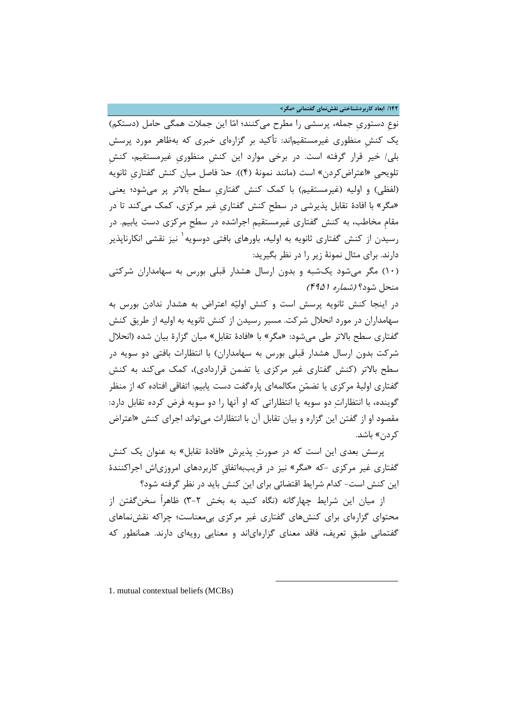**/142 ابعاد کاربردشناختی نقشنماي گفتمانیِ «مگر»**

نوعِ دستوريِ جمله، پرسشی را مطرح میکنند؛ اما این جملات همگی حامل (دستکم) یک کنشِ منظوري غیرمستقیماند: تأکید بر گزارهاي خبري که بهظاهر مورد پرسش بلی/ خیر قرار گرفته است. در برخی موارد این کنشِ منظوريِ غیرمستقیم، کنشِ تلویحیِ «اعتراضکردن» است (مانند نمونۀ (4)). حد فاصل میان کنش گفتاريِ ثانویه (لفظی) و اولیه (غیرمستقیم) با کمک کنش گفتاريِ سطح بالاتر پر میشود؛ یعنی «مگر» با افادة تقابل پذیرشی در سطحِ کنش گفتاريِ غیر مرکزي، کمک میکند تا در مقامِ مخاطب، به کنش گفتاري غیرمستقیمِ اجراشده در سطحِ مرکزي دست یابیم. در رسیدن از کنش گفتاری ثانویه به اولیه، باورهای بافتی دوسویه ٰ نیز نقشی انکارناپذیر دارند. براي مثال نمونۀ زیر را در نظر بگیرید:

[\(](#page-19-0)1[0](#page-19-0)) مگر میشود یکشبه و بدون ارسال هشدار قبلی بورس به سهامداران شرکتی منحل شود؟ (شماره 4951)

در اینجا کنش ثانویه پرسش است و کنش اولیه اعتراض به هشدار ندادن بورس به سهامداران در مورد انحلال شرکت. مسیر رسیدن از کنش ثانویه به اولیه از طریق کنش گفتاري سطح بالاتر طی میشود: «مگر» با «افادة تقابل» میان گزارة بیان شده (انحلال شرکت بدون ارسال هشدار قبلی بورس به سهامداران) با انتظارات بافتی دو سویه در سطح بالاتر (کنش گفتاري غیر مرکزي یا تضمن قراردادي)، کمک میکند به کنش گفتاري اولیۀ مرکزي یا تضمنِ مکالمهاي پارهگفت دست یابیم: اتفاقی افتاده که از منظر گوینده، با انتظارات دو سویه یا انتظاراتی که او آنها را دو سویه فرض کرده تقابل دارد: مقصود او از گفتن این گزاره و بیان تقابل آن با انتظارات میتواند اجراي کنش «اعتراض کردن» باشد.

پرسش بعدي این است که در صورت پذیرش «افادة تقابل» به عنوان یک کنش گفتاري غیر مرکزي -که «مگر» نیز در قریببهاتفاقِ کاربردهاي امروزياش اجراکنندة این کنش است- کدام شرایط اقتضائی براي این کنش باید در نظر گرفته شود؟

از میان این شرایط چهارگانه (نگاه کنید به بخش 3-2) ظاهراً سخنگفتن از محتواي گزارهاي براي کنشهاي گفتاري غیر مرکزي بیمعناست؛ چراکه نقشنماهاي گفتمانی طبقِ تعریف، فاقد معناي گزارهاياند و معنایی رویهاي دارند. همانطور که

 $\overline{a}$ 

<span id="page-19-0"></span>1. mutual contextual beliefs (MCBs)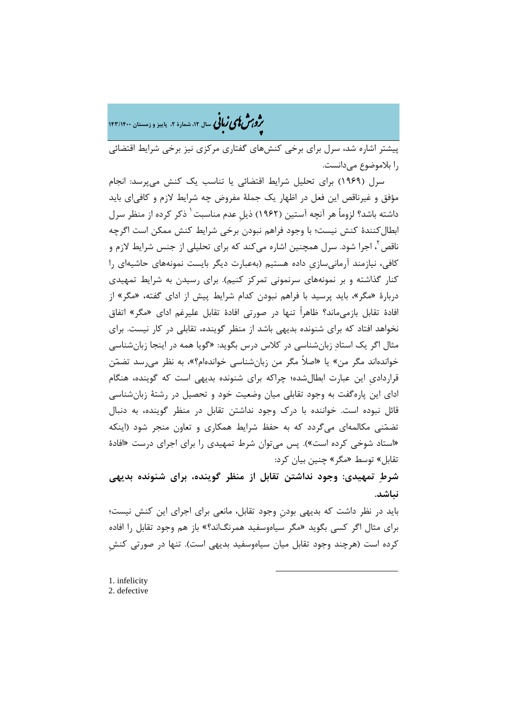�ی زبا **، سال ،12 شمارة ،2 پاییز و زمستان 143/1400** � �و ی �ش

پیشتر اشاره شد، سرل براي برخی کنشهاي گفتاري مرکزي نیز برخی شرایط اقتضائی را بلاموضوع میدانست.

سرل (1969) براي تحلیل شرایط اقتضائی یا تناسب یک کنش میپرسد: انجام مؤفق و غیرناقص این فعل در اظهار یک جملۀ مفروض چه شرایط لازم و کافیاي باید داشته باشد؟ لزوماً هر آنچه آستین (۱۹۶۲) ذیل عدم مناسبت ٰ ذکر کرده از منظر سرل ابطالکنندة کنش نیست؛ با وجود فراهم نبودن برخی شرایط کنش ممکن است اگرچه ناقص <sup>۲</sup>، اجرا شود. سرل همچنین اشاره می *ک*ند که برای تحلیلی از جنس شرایط لازم و کافی، نیازمند آرمانیسازيِ داده هستیم (بهعبارت دیگر بایست نمونههاي حاشیهاي را کنار گذاشته و بر نمونههاي سرنمونی تمرکز کنیم). براي رسیدن به شرایط تمهیدي دربارة «مگر»، باید پرسید با فراهم نبودن کدام شرایط پیش از اداي گفته، «مگر» از افادة تقابل بازمیماند؟ ظاهراً تنها در صورتی افادة تقابل علیرغم اداي «مگر» اتفاق نخواهد افتاد که براي شنونده بدیهی باشد از منظر گوینده، تقابلی در کار نیست. براي مثال اگر یک استاد زبانشناسی در کلاس درس بگوید: «گویا همه در اینجا زبانشناسی خواندهاند مگر من» یا «اصلاً مگر من زبانشناسی خواندهام؟»، به نظر میرسد تضمن قرارداديِ این عبارت ابطالشده؛ چراکه براي شنونده بدیهی است که گوینده، هنگام اداي این پارهگفت به وجود تقابلی میان وضعیت خود و تحصیل در رشتۀ زبانشناسی قائل نبوده است. خواننده با درك وجود نداشتن تقابل در منظر گوینده، به دنبال تضمنی مکالمهاي میگردد که به حفظ شرایط همکاري و تعاون منجر شود (اینکه «استاد شوخی کرده است»). پس میتوان شرط تمهیدي را براي اجراي درست «افادة تقابل» توسط «مگر» چنین بیان کرد:

**شرط تمهیدي: وجود نداشتن تقابل از منظر گوینده، براي شنونده بدیهی نباشد.** 

باید در نظر داشت که بدیهی بودنِ وجود تقابل، مانعی براي اجراي این کنش نیست؛ براي مثال اگر کسی بگوید «مگر سیاهوسفید همرنگاند؟» باز هم وجود تقابل را افاده کرده است (هرچند وجود تقابل میان سیاهوسفید بدیهی است). تنها در صورتی کنشِ

**.** 

<span id="page-20-1"></span><span id="page-20-0"></span>[<sup>1.</sup>](#page-20-1) infelicity 2. defective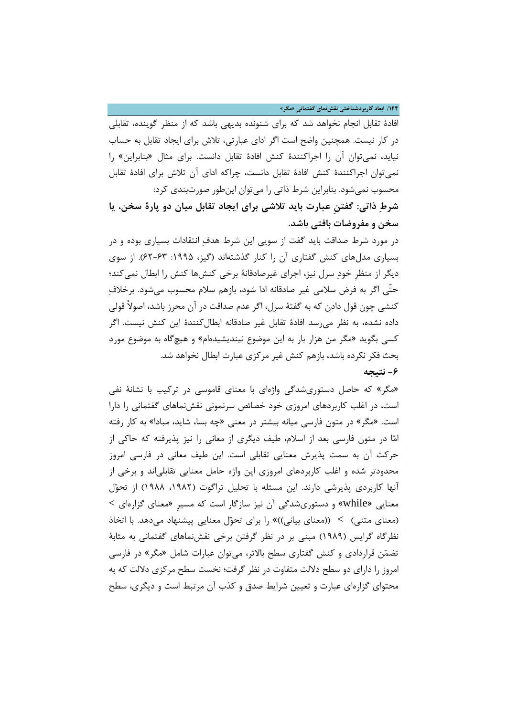**/144 ابعاد کاربردشناختی نقشنماي گفتمانیِ «مگر»**

افادة تقابل انجام نخواهد شد که براي شنونده بدیهی باشد که از منظر گوینده، تقابلی در کار نیست. همچنین واضح است اگر اداي عبارتی، تلاش براي ایجاد تقابل به حساب نیاید، نمیتوان آن را اجراکنندة کنش افادة تقابل دانست. براي مثال «بنابراین» را نمیتوان اجراکنندة کنش افادة تقابل دانست، چراکه اداي آن تلاش براي افادة تقابل محسوب نمیشود. بنابراین شرط ذاتی را میتوان اینطور صورتبندي کرد:

**شرط ذاتی: گفتنِ عبارت باید تلاشی براي ایجاد تقابل میان دو پارة سخن، یا سخن و مفروضات بافتی باشد.** 

در مورد شرط صداقت باید گفت از سویی این شرط هدف انتقادات بسیاري بوده و در بسیاري مدلهاي کنش گفتاري آن را کنار گذشتهاند (گیز، :1995 62-63). از سوي دیگر از منظرِ خود سرل نیز، اجراي غیرصادقانۀ برخی کنشها کنش را ابطال نمیکند؛ حتّی اگر به فرض سلامی غیر صادقانه ادا شود، بازهم سلام محسوب میشود. برخلاف کنشی چون قول دادن که به گفتۀ سرل، اگر عدم صداقت در آن محرز باشد، اصولاً قولی داده نشده، به نظر میرسد افادة تقابل غیر صادقانه ابطالکنندة این کنش نیست. اگر کسی بگوید «مگر من هزار بار به این موضوع نیندیشیدهام» و هیچگاه به موضوع مورد بحث فکر نکرده باشد، بازهم کنش غیر مرکزي عبارت ابطال نخواهد شد. **-6 نتیجه**

«مگر» که حاصل دستوريشدگی واژهاي با معناي قاموسی در ترکیب با نشانۀ نفی است، در اغلب کاربردهاي امروزي خود خصائص سرنمونی نقشنماهاي گفتمانی را دارا است. «مگر» در متون فارسی میانه بیشتر در معنی «چه بسا، شاید، مبادا» به کار رفته اما در متون فارسی بعد از اسلام، طیف دیگري از معانی را نیز پذیرفته که حاکی از حرکت آن به سمت پذیرش معنایی تقابلی است. این طیف معانی در فارسی امروز محدودتر شده و اغلب کاربردهاي امروزي این واژه حامل معنایی تقابلیاند و برخی از آنها کاربردی پذیرشی دارند. این مسئله با تحلیل تراگوت (۱۹۸۲، ۱۹۸۸) از تحوّل  $<$  معنایی «while» و دستوریشدگی آن نیز سازگار است که مسیرِ «معنای گزارهای (معناي متنی) > ((معناي بیانی))» را براي تحول معنایی پیشنهاد میدهد. با اتخاذ نظرگاه گرایس (1989) مبنی بر در نظر گرفتن برخی نقشنماهاي گفتمانی به مثابۀ تضمن قراردادي و کنش گفتاري سطح بالاتر، میتوان عبارات شامل «مگر» در فارسی امروز را داراي دو سطح دلالت متفاوت در نظر گرفت؛ نخست سطح مرکزي دلالت که به محتواي گزارهاي عبارت و تعیین شرایط صدق و کذب آن مرتبط است و دیگري، سطح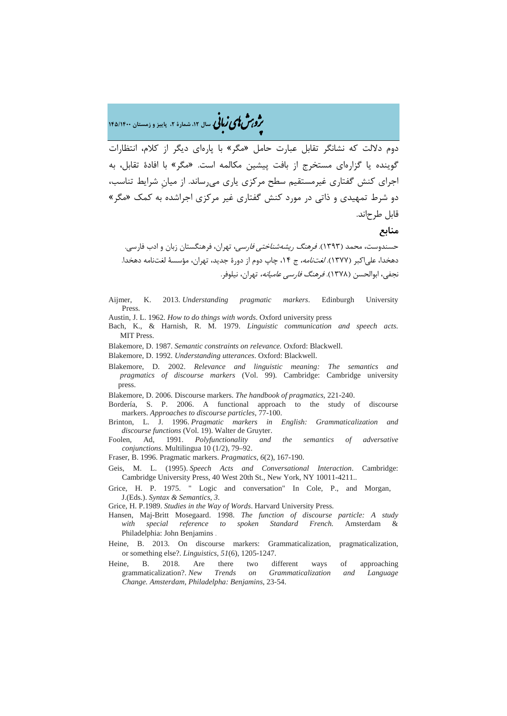# �ی زبا **، سال ،12 شمارة ،2 پاییز و زمستان 145/1400** � �و ی �ش

دوم دلالت که نشانگر تقابل عبارت حامل «مگر» با پارهاي دیگر از کلام، انتظارات گوینده یا گزارهاي مستخرج از بافت پیشین مکالمه است. «مگر» با افادة تقابل، به اجراي کنش گفتاري غیرمستقیم سطح مرکزي یاري میرساند. از میانِ شرایط تناسب، دو شرط تمهیدي و ذاتی در مورد کنش گفتاري غیر مرکزي اجراشده به کمک «مگر» قابل طرحاند.

### **منابع**

حسندوست، محمد (1393). فرهنگ ریشهشناختی فارسی، تهران، فرهنگستان زبان و ادب فارسی. دهخدا، علی اکبر (۱۳۷۷). *لغتنامه،* ج ۱۴، چاپ دوم از دورهٔ جدید، تهران، مؤسسۀ لغتنامه دهخدا. نجفی، ابوالحسن (1378). فرهنگ فارسی عامیانه، تهران، نیلوفر.

- Aijmer, K. 2013. *Understanding pragmatic markers*. Edinburgh University Press.
- Austin, J. L. 1962. *How to do things with words*. Oxford university press
- Bach, K., & Harnish, R. M. 1979. *Linguistic communication and speech acts*. MIT Press.
- Blakemore, D. 1987. *Semantic constraints on relevance.* Oxford: Blackwell.
- Blakemore, D. 1992. *Understanding utterances*. Oxford: Blackwell.
- Blakemore, D. 2002. *Relevance and linguistic meaning: The semantics and pragmatics of discourse markers* (Vol. 99). Cambridge: Cambridge university press.
- Blakemore, D. 2006. Discourse markers. *The handbook of pragmatics*, 221-240.
- Bordería, S. P. 2006. A functional approach to the study of discourse markers. *Approaches to discourse particles*, 77-100.
- Brinton, L. J. 1996. *Pragmatic markers in English: Grammaticalization and discourse functions* (Vol. 19). Walter de Gruyter.
- Foolen, Ad, 1991. *Polyfunctionality and the semantics of adversative conjunctions*. Multilingua 10 (1/2), 79–92.
- Fraser, B. 1996. Pragmatic markers. *Pragmatics*, *6*(2), 167-190.
- Geis, M. L. (1995). *Speech Acts and Conversational Interaction*. Cambridge: Cambridge University Press, 40 West 20th St., New York, NY 10011-4211..
- Grice, H. P. 1975. " Logic and conversation" In Cole, P., and Morgan, J.(Eds.). *Syntax & Semantics*, *3*.
- Grice, H. P.1989. *Studies in the Way of Words*. Harvard University Press.
- Hansen, Maj-Britt Mosegaard. 1998. *The function of discourse particle: A study with special reference to spoken Standard French.* Amsterdam & Philadelphia: John Benjamins .
- Heine, B. 2013. On discourse markers: Grammaticalization, pragmaticalization, or something else?. *Linguistics*, *51*(6), 1205-1247.
- Heine, B. 2018. Are there two different ways of approaching grammaticalization?. *New Trends on Grammaticalization and Language Change. Amsterdam, Philadelpha: Benjamins*, 23-54.